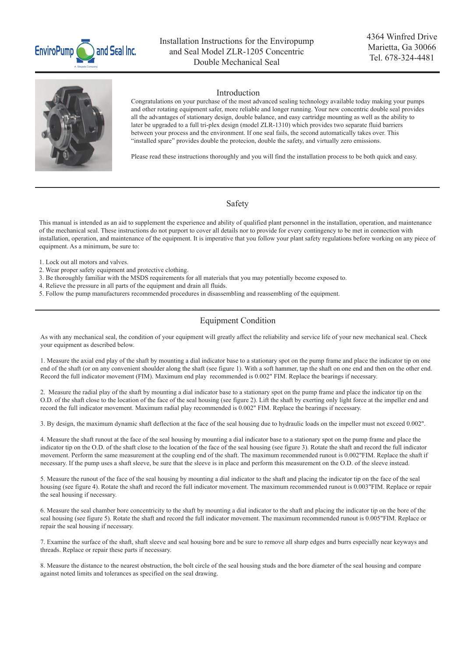



### Introduction

Congratulations on your purchase of the most advanced sealing technology available today making your pumps and other rotating equipment safer, more reliable and longer running. Your new concentric double seal provides all the advantages of stationary design, double balance, and easy cartridge mounting as well as the ability to later be upgraded to a full tri-plex design (model ZLR-1310) which provides two separate fluid barriers between your process and the environment. If one seal fails, the second automatically takes over. This "installed spare" provides double the protecion, double the safety, and virtually zero emissions.

Please read these instructions thoroughly and you will find the installation process to be both quick and easy.

## Safety

This manual is intended as an aid to supplement the experience and ability of qualified plant personnel in the installation, operation, and maintenance of the mechanical seal. These instructions do not purport to cover all details nor to provide for every contingency to be met in connection with installation, operation, and maintenance of the equipment. It is imperative that you follow your plant safety regulations before working on any piece of equipment. As a minimum, be sure to:

- 1. Lock out all motors and valves.
- 2. Wear proper safety equipment and protective clothing.
- 3. Be thoroughly familiar with the MSDS requirements for all materials that you may potentially become exposed to.
- 4. Relieve the pressure in all parts of the equipment and drain all fluids.
- 5. Follow the pump manufacturers recommended procedures in disassembling and reassembling of the equipment.

# Equipment Condition

As with any mechanical seal, the condition of your equipment will greatly affect the reliability and service life of your new mechanical seal. Check your equipment as described below.

1. Measure the axial end play of the shaft by mounting a dial indicator base to a stationary spot on the pump frame and place the indicator tip on one end of the shaft (or on any convenient shoulder along the shaft (see figure 1). With a soft hammer, tap the shaft on one end and then on the other end. Record the full indicator movement (FIM). Maximum end play recommended is 0.002" FIM. Replace the bearings if necessary.

2. Measure the radial play of the shaft by mounting a dial indicator base to a stationary spot on the pump frame and place the indicator tip on the O.D. of the shaft close to the location of the face of the seal housing (see figure 2). Lift the shaft by exerting only light force at the impeller end and record the full indicator movement. Maximum radial play recommended is 0.002" FIM. Replace the bearings if necessary.

3. By design, the maximum dynamic shaft deflection at the face of the seal housing due to hydraulic loads on the impeller must not exceed 0.002".

4. Measure the shaft runout at the face of the seal housing by mounting a dial indicator base to a stationary spot on the pump frame and place the indicator tip on the O.D. of the shaft close to the location of the face of the seal housing (see figure 3). Rotate the shaft and record the full indicator movement. Perform the same measurement at the coupling end of the shaft. The maximum recommended runout is 0.002"FIM. Replace the shaft if necessary. If the pump uses a shaft sleeve, be sure that the sleeve is in place and perform this measurement on the O.D. of the sleeve instead.

5. Measure the runout of the face of the seal housing by mounting a dial indicator to the shaft and placing the indicator tip on the face of the seal housing (see figure 4). Rotate the shaft and record the full indicator movement. The maximum recommended runout is 0.003"FIM. Replace or repair the seal housing if necessary.

6. Measure the seal chamber bore concentricity to the shaft by mounting a dial indicator to the shaft and placing the indicator tip on the bore of the seal housing (see figure 5). Rotate the shaft and record the full indicator movement. The maximum recommended runout is 0.005"FIM. Replace or repair the seal housing if necessary.

7. Examine the surface of the shaft, shaft sleeve and seal housing bore and be sure to remove all sharp edges and burrs especially near keyways and threads. Replace or repair these parts if necessary.

8. Measure the distance to the nearest obstruction, the bolt circle of the seal housing studs and the bore diameter of the seal housing and compare against noted limits and tolerances as specified on the seal drawing.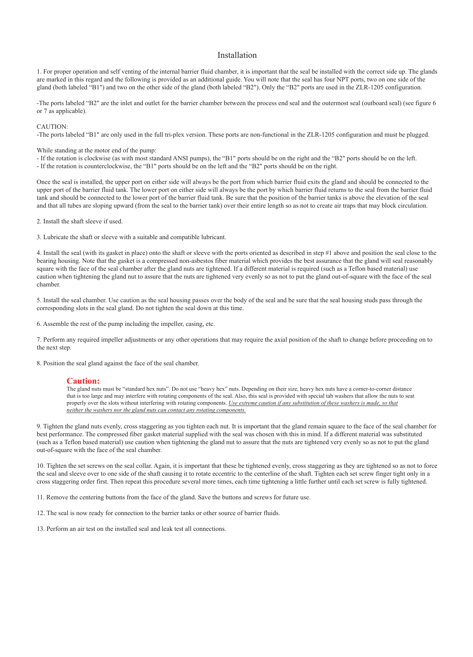### Installation

1. For proper operation and self venting of the internal barrier fluid chamber, it is important that the seal be installed with the correct side up. The glands are marked in this regard and the following is provided as an additional guide. You will note that the seal has four NPT ports, two on one side of the gland (both labeled "B1") and two on the other side of the gland (both labeled "B2"). Only the "B2" ports are used in the ZLR-1205 configuration.

-The ports labeled "B2" are the inlet and outlet for the barrier chamber between the process end seal and the outermost seal (outboard seal) (see figure 6 or 7 as applicable).

CAUTION:

-The ports labeled "B1" are only used in the full tri-plex version. These ports are non-functional in the ZLR-1205 configuration and must be plugged.

While standing at the motor end of the pump:

- If the rotation is clockwise (as with most standard ANSI pumps), the "B1" ports should be on the right and the "B2" ports should be on the left.

- If the rotation is counterclockwise, the "B1" ports should be on the left and the "B2" ports should be on the right.

Once the seal is installed, the upper port on either side will always be the port from which barrier fluid exits the gland and should be connected to the upper port of the barrier fluid tank. The lower port on either side will always be the port by which barrier fluid returns to the seal from the barrier fluid tank and should be connected to the lower port of the barrier fluid tank. Be sure that the position of the barrier tanks is above the elevation of the seal and that all tubes are sloping upward (from the seal to the barrier tank) over their entire length so as not to create air traps that may block circulation.

2. Install the shaft sleeve if used.

3. Lubricate the shaft or sleeve with a suitable and compatible lubricant.

4. Install the seal (with its gasket in place) onto the shaft or sleeve with the ports oriented as described in step #1 above and position the seal close to the bearing housing. Note that the gasket is a compressed non-asbestos fiber material which provides the best assurance that the gland will seal reasonably square with the face of the seal chamber after the gland nuts are tightened. If a different material is required (such as a Teflon based material) use caution when tightening the gland nut to assure that the nuts are tightened very evenly so as not to put the gland out-of-square with the face of the seal chamber.

5. Install the seal chamber. Use caution as the seal housing passes over the body of the seal and be sure that the seal housing studs pass through the corresponding slots in the seal gland. Do not tighten the seal down at this time.

6. Assemble the rest of the pump including the impeller, casing, etc.

7. Perform any required impeller adjustments or any other operations that may require the axial position of the shaft to change before proceeding on to the next step.

8. Position the seal gland against the face of the seal chamber.

### **Caution:**

The gland nuts must be "standard hex nuts". Do not use "heavy hex" nuts. Depending on their size, heavy hex nuts have a corner-to-corner distance that is too large and may interfere with rotating components of the seal. Also, this seal is provided with special tab washers that allow the nuts to seat properly over the slots without interfering with rotating components. *Use extreme caution if any substitution of these washers is made, so that neither the washers nor the gland nuts can contact any rotating components.*

9. Tighten the gland nuts evenly, cross staggering as you tighten each nut. It is important that the gland remain square to the face of the seal chamber for best performance. The compressed fiber gasket material supplied with the seal was chosen with this in mind. If a different material was substituted (such as a Teflon based material) use caution when tightening the gland nut to assure that the nuts are tightened very evenly so as not to put the gland out-of-square with the face of the seal chamber.

10. Tighten the set screws on the seal collar. Again, it is important that these be tightened evenly, cross staggering as they are tightened so as not to force the seal and sleeve over to one side of the shaft causing it to rotate eccentric to the centerline of the shaft. Tighten each set screw finger tight only in a cross staggering order first. Then repeat this procedure several more times, each time tightening a little further until each set screw is fully tightened.

11. Remove the centering buttons from the face of the gland. Save the buttons and screws for future use.

12. The seal is now ready for connection to the barrier tanks or other source of barrier fluids.

13. Perform an air test on the installed seal and leak test all connections.